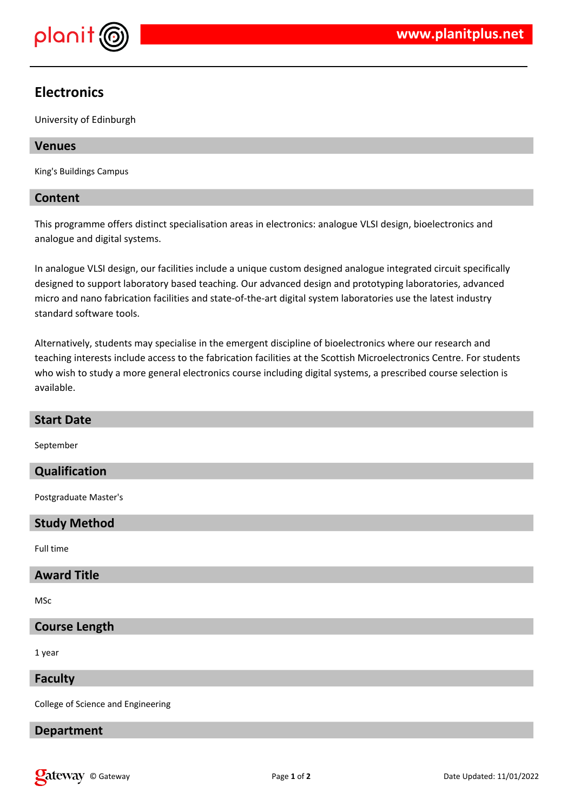

# **Electronics**

University of Edinburgh

### **Venues**

King's Buildings Campus

### **Content**

This programme offers distinct specialisation areas in electronics: analogue VLSI design, bioelectronics and analogue and digital systems.

In analogue VLSI design, our facilities include a unique custom designed analogue integrated circuit specifically designed to support laboratory based teaching. Our advanced design and prototyping laboratories, advanced micro and nano fabrication facilities and state-of-the-art digital system laboratories use the latest industry standard software tools.

Alternatively, students may specialise in the emergent discipline of bioelectronics where our research and teaching interests include access to the fabrication facilities at the Scottish Microelectronics Centre. For students who wish to study a more general electronics course including digital systems, a prescribed course selection is available.

| <b>Start Date</b>                  |
|------------------------------------|
| September                          |
| Qualification                      |
| Postgraduate Master's              |
| <b>Study Method</b>                |
| Full time                          |
| <b>Award Title</b>                 |
| MSc                                |
| <b>Course Length</b>               |
| 1 year                             |
| <b>Faculty</b>                     |
| College of Science and Engineering |
| <b>Department</b>                  |